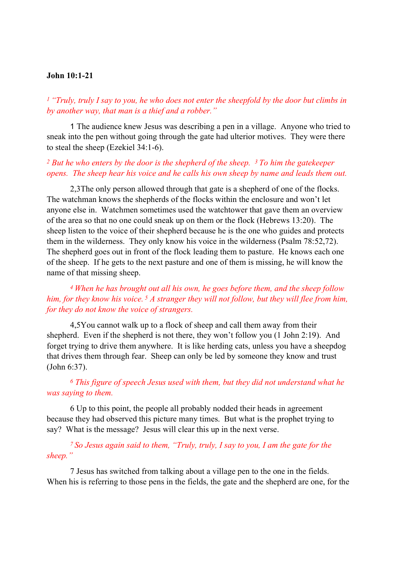### John 10:1-21

 $1$  "Truly, truly I say to you, he who does not enter the sheepfold by the door but climbs in by another way, that man is a thief and a robber."

 1 The audience knew Jesus was describing a pen in a village. Anyone who tried to sneak into the pen without going through the gate had ulterior motives. They were there to steal the sheep (Ezekiel 34:1-6).

### $2$  But he who enters by the door is the shepherd of the sheep.  $3$  To him the gatekeeper opens. The sheep hear his voice and he calls his own sheep by name and leads them out.

2,3The only person allowed through that gate is a shepherd of one of the flocks. The watchman knows the shepherds of the flocks within the enclosure and won't let anyone else in. Watchmen sometimes used the watchtower that gave them an overview of the area so that no one could sneak up on them or the flock (Hebrews 13:20). The sheep listen to the voice of their shepherd because he is the one who guides and protects them in the wilderness. They only know his voice in the wilderness (Psalm 78:52,72). The shepherd goes out in front of the flock leading them to pasture. He knows each one of the sheep. If he gets to the next pasture and one of them is missing, he will know the name of that missing sheep.

<sup>4</sup>When he has brought out all his own, he goes before them, and the sheep follow him, for they know his voice.  $5$  A stranger they will not follow, but they will flee from him, for they do not know the voice of strangers.

4,5You cannot walk up to a flock of sheep and call them away from their shepherd. Even if the shepherd is not there, they won't follow you (1 John 2:19). And forget trying to drive them anywhere. It is like herding cats, unless you have a sheepdog that drives them through fear. Sheep can only be led by someone they know and trust (John 6:37).

<sup>6</sup> This figure of speech Jesus used with them, but they did not understand what he was saying to them.

 6 Up to this point, the people all probably nodded their heads in agreement because they had observed this picture many times. But what is the prophet trying to say? What is the message? Jesus will clear this up in the next verse.

<sup>7</sup>So Jesus again said to them, "Truly, truly, I say to you, I am the gate for the sheep."

 7 Jesus has switched from talking about a village pen to the one in the fields. When his is referring to those pens in the fields, the gate and the shepherd are one, for the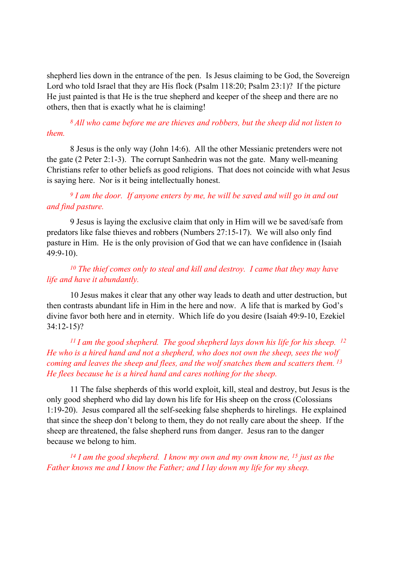shepherd lies down in the entrance of the pen. Is Jesus claiming to be God, the Sovereign Lord who told Israel that they are His flock (Psalm 118:20; Psalm 23:1)? If the picture He just painted is that He is the true shepherd and keeper of the sheep and there are no others, then that is exactly what he is claiming!

<sup>8</sup>All who came before me are thieves and robbers, but the sheep did not listen to them.

 8 Jesus is the only way (John 14:6). All the other Messianic pretenders were not the gate (2 Peter 2:1-3). The corrupt Sanhedrin was not the gate. Many well-meaning Christians refer to other beliefs as good religions. That does not coincide with what Jesus is saying here. Nor is it being intellectually honest.

# $9$  I am the door. If anyone enters by me, he will be saved and will go in and out and find pasture.

 9 Jesus is laying the exclusive claim that only in Him will we be saved/safe from predators like false thieves and robbers (Numbers 27:15-17). We will also only find pasture in Him. He is the only provision of God that we can have confidence in (Isaiah 49:9-10).

## <sup>10</sup> The thief comes only to steal and kill and destroy. I came that they may have life and have it abundantly.

 10 Jesus makes it clear that any other way leads to death and utter destruction, but then contrasts abundant life in Him in the here and now. A life that is marked by God's divine favor both here and in eternity. Which life do you desire (Isaiah 49:9-10, Ezekiel 34:12-15)?

<sup>11</sup> I am the good shepherd. The good shepherd lays down his life for his sheep. <sup>12</sup> He who is a hired hand and not a shepherd, who does not own the sheep, sees the wolf coming and leaves the sheep and flees, and the wolf snatches them and scatters them.<sup>13</sup> He flees because he is a hired hand and cares nothing for the sheep.

 11 The false shepherds of this world exploit, kill, steal and destroy, but Jesus is the only good shepherd who did lay down his life for His sheep on the cross (Colossians 1:19-20). Jesus compared all the self-seeking false shepherds to hirelings. He explained that since the sheep don't belong to them, they do not really care about the sheep. If the sheep are threatened, the false shepherd runs from danger. Jesus ran to the danger because we belong to him.

<sup>14</sup> I am the good shepherd. I know my own and my own know ne, <sup>15</sup> just as the Father knows me and I know the Father; and I lay down my life for my sheep.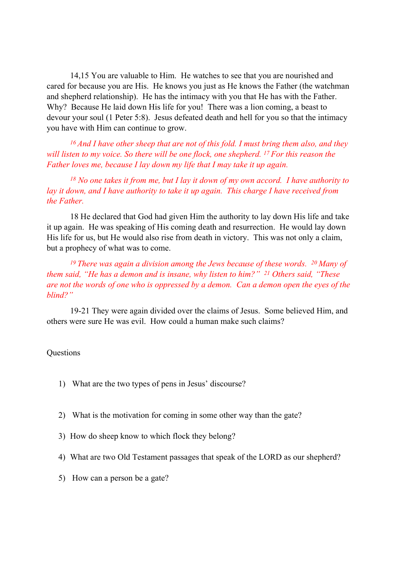14,15 You are valuable to Him. He watches to see that you are nourished and cared for because you are His. He knows you just as He knows the Father (the watchman and shepherd relationship). He has the intimacy with you that He has with the Father. Why? Because He laid down His life for you! There was a lion coming, a beast to devour your soul (1 Peter 5:8). Jesus defeated death and hell for you so that the intimacy you have with Him can continue to grow.

 $16$  And I have other sheep that are not of this fold. I must bring them also, and they will listen to my voice. So there will be one flock, one shepherd. <sup>17</sup> For this reason the Father loves me, because I lay down my life that I may take it up again.

 $18$  No one takes it from me, but I lay it down of my own accord. I have authority to lay it down, and I have authority to take it up again. This charge I have received from the Father.

 18 He declared that God had given Him the authority to lay down His life and take it up again. He was speaking of His coming death and resurrection. He would lay down His life for us, but He would also rise from death in victory. This was not only a claim, but a prophecy of what was to come.

<sup>19</sup> There was again a division among the Jews because of these words. <sup>20</sup> Many of them said, "He has a demon and is insane, why listen to him?"  $21$  Others said, "These are not the words of one who is oppressed by a demon. Can a demon open the eyes of the blind?"

 19-21 They were again divided over the claims of Jesus. Some believed Him, and others were sure He was evil. How could a human make such claims?

### **Ouestions**

- 1) What are the two types of pens in Jesus' discourse?
- 2) What is the motivation for coming in some other way than the gate?
- 3) How do sheep know to which flock they belong?
- 4) What are two Old Testament passages that speak of the LORD as our shepherd?
- 5) How can a person be a gate?